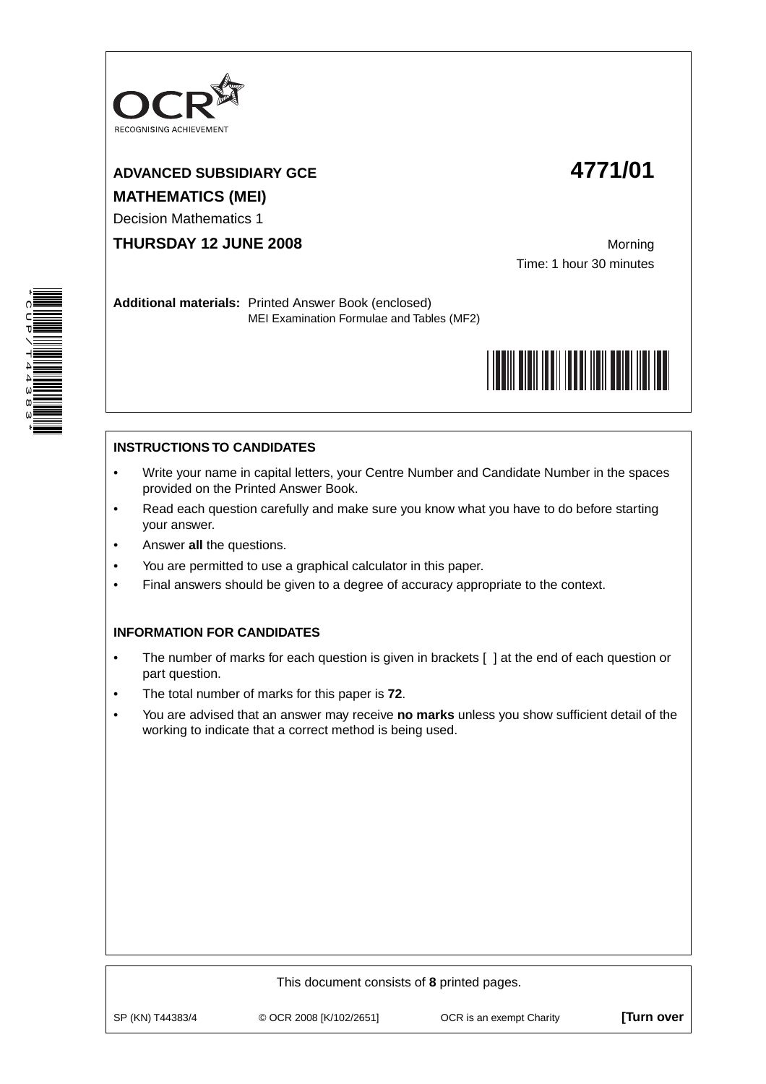

# **ADVANCED SUBSIDIARY GCE 4771/01 MATHEMATICS (MEI)**

Decision Mathematics 1

**THURSDAY 12 JUNE 2008** Morning

Time: 1 hour 30 minutes

**Additional materials:** Printed Answer Book (enclosed) MEI Examination Formulae and Tables (MF2)



## **INSTRUCTIONS TO CANDIDATES**

- Write your name in capital letters, your Centre Number and Candidate Number in the spaces provided on the Printed Answer Book.
- Read each question carefully and make sure you know what you have to do before starting your answer.
- Answer **all** the questions.
- You are permitted to use a graphical calculator in this paper.
- Final answers should be given to a degree of accuracy appropriate to the context.

## **INFORMATION FOR CANDIDATES**

- The number of marks for each question is given in brackets [] at the end of each question or part question.
- The total number of marks for this paper is **72**.
- You are advised that an answer may receive **no marks** unless you show sufficient detail of the working to indicate that a correct method is being used.

| This document consists of 8 printed pages. |                         |                          |                  |  |  |
|--------------------------------------------|-------------------------|--------------------------|------------------|--|--|
| SP (KN) T44383/4                           | © OCR 2008 [K/102/2651] | OCR is an exempt Charity | <b>Turn over</b> |  |  |

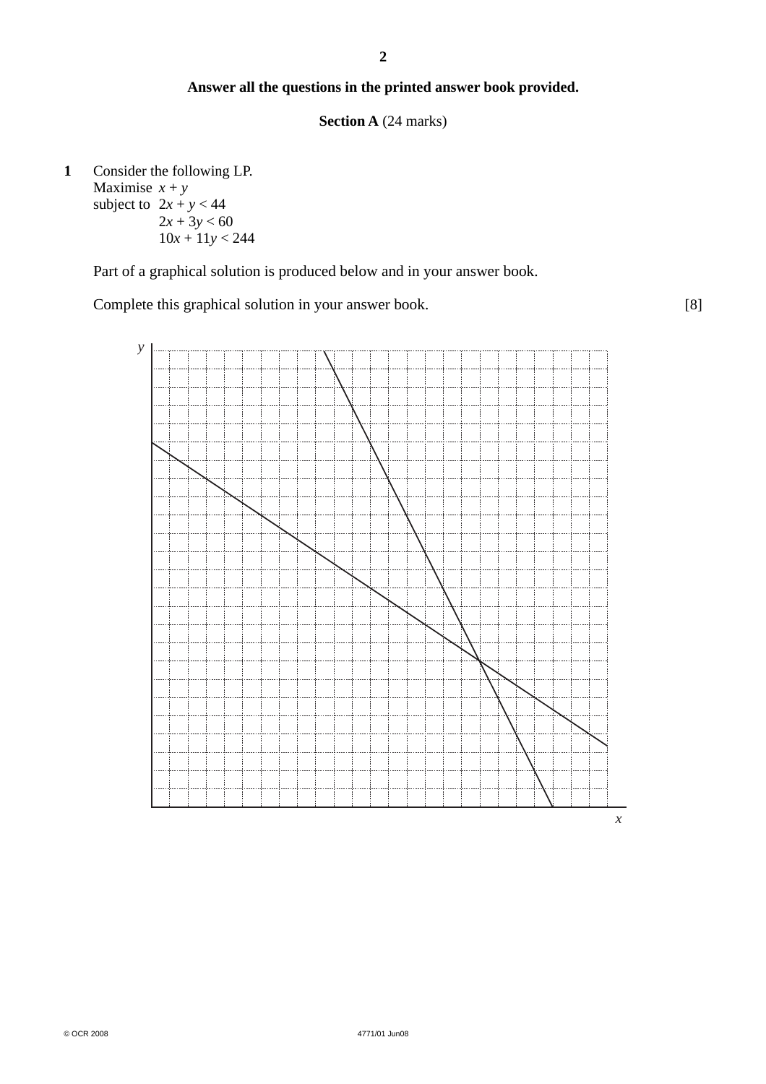## **Answer all the questions in the printed answer book provided.**

**Section A** (24 marks)

**1** Consider the following LP.

Maximise  $x + y$ subject to  $2x + y < 44$  $2x + 3y < 60$  $10x + 11y < 244$ 

Part of a graphical solution is produced below and in your answer book.

Complete this graphical solution in your answer book. [8]

*y*

*x*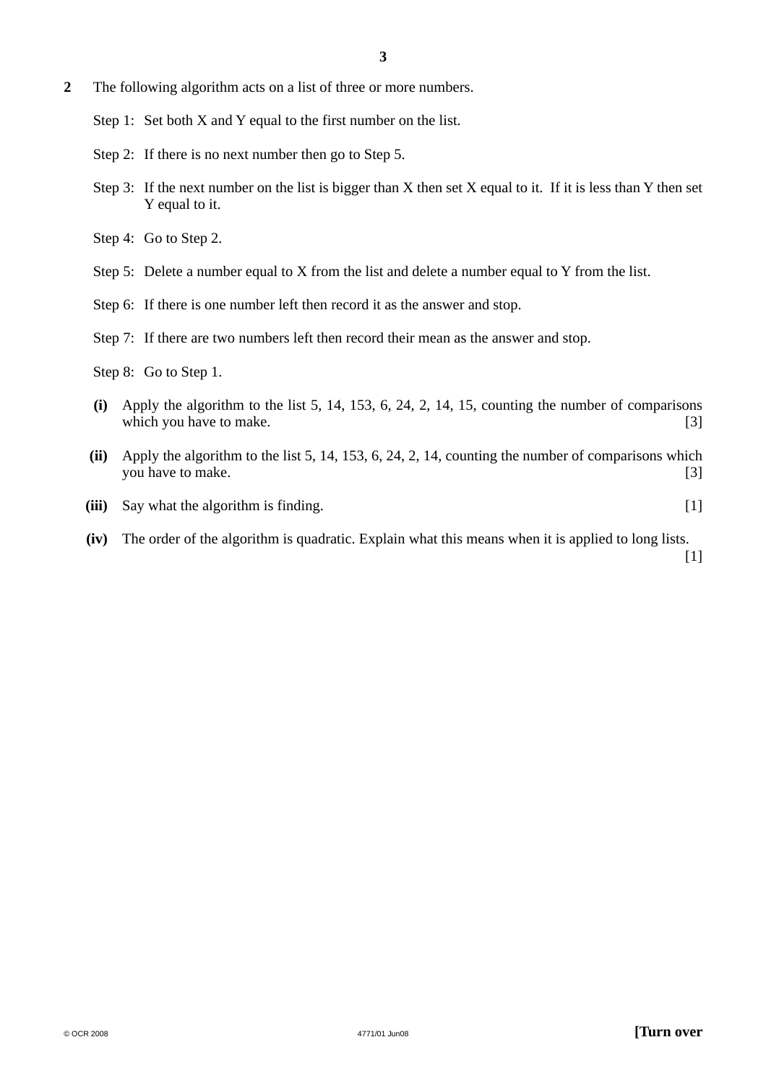**2** The following algorithm acts on a list of three or more numbers.

Step 1: Set both X and Y equal to the first number on the list.

- Step 2: If there is no next number then go to Step 5.
- Step 3: If the next number on the list is bigger than X then set X equal to it. If it is less than Y then set Y equal to it.

Step 4: Go to Step 2.

- Step 5: Delete a number equal to X from the list and delete a number equal to Y from the list.
- Step 6: If there is one number left then record it as the answer and stop.
- Step 7: If there are two numbers left then record their mean as the answer and stop.

Step 8: Go to Step 1.

- **(i)** Apply the algorithm to the list 5, 14, 153, 6, 24, 2, 14, 15, counting the number of comparisons which you have to make. [3]
- **(ii)** Apply the algorithm to the list 5, 14, 153, 6, 24, 2, 14, counting the number of comparisons which you have to make. [3]
- **(iii)** Say what the algorithm is finding. [1]
- **(iv)** The order of the algorithm is quadratic. Explain what this means when it is applied to long lists. [1]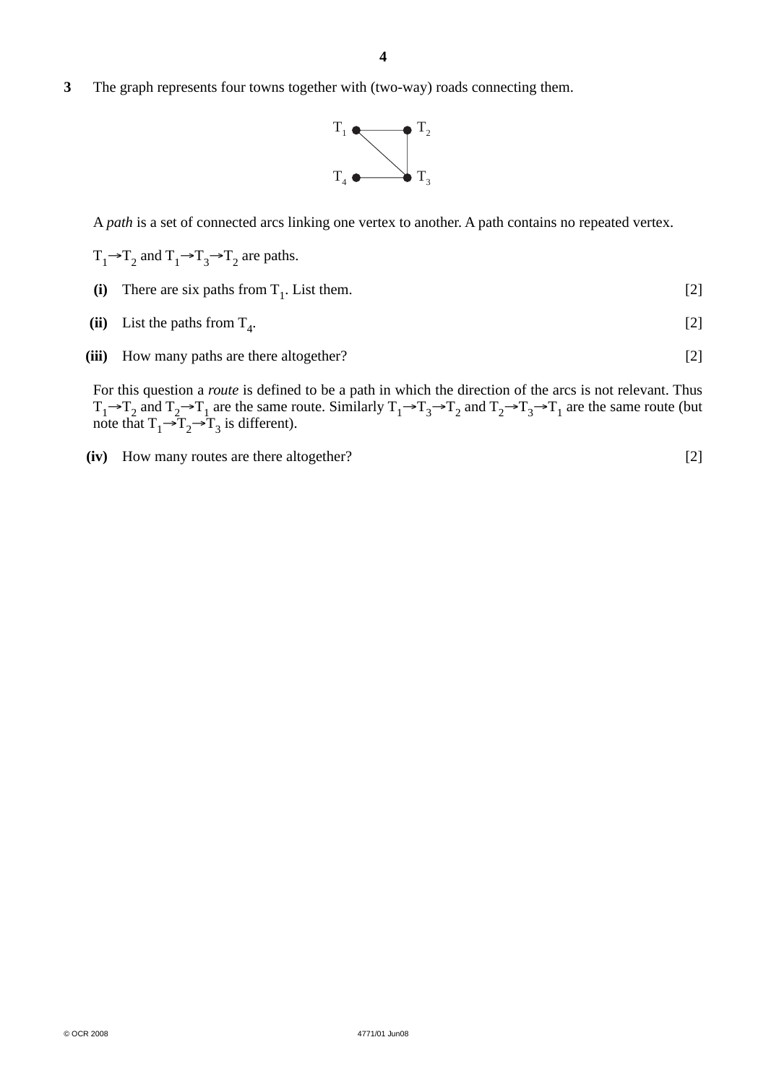## **3** The graph represents four towns together with (two-way) roads connecting them.



A *path* is a set of connected arcs linking one vertex to another. A path contains no repeated vertex.

 $T_1 \rightarrow T_2$  and  $T_1 \rightarrow T_3 \rightarrow T_2$  are paths. **(i)** There are six paths from  $T_1$ . List them. [2] **(ii)** List the paths from  $T_4$ . [2]

**(iii)** How many paths are there altogether? [2]

 For this question a *route* is defined to be a path in which the direction of the arcs is not relevant. Thus  $T_1\rightarrow T_2$  and  $T_2\rightarrow T_1$  are the same route. Similarly  $T_1\rightarrow T_3\rightarrow T_2$  and  $T_2\rightarrow T_3\rightarrow T_1$  are the same route (but note that  $T_1 \rightarrow T_2 \rightarrow T_3$  is different).

 **(iv)** How many routes are there altogether? [2]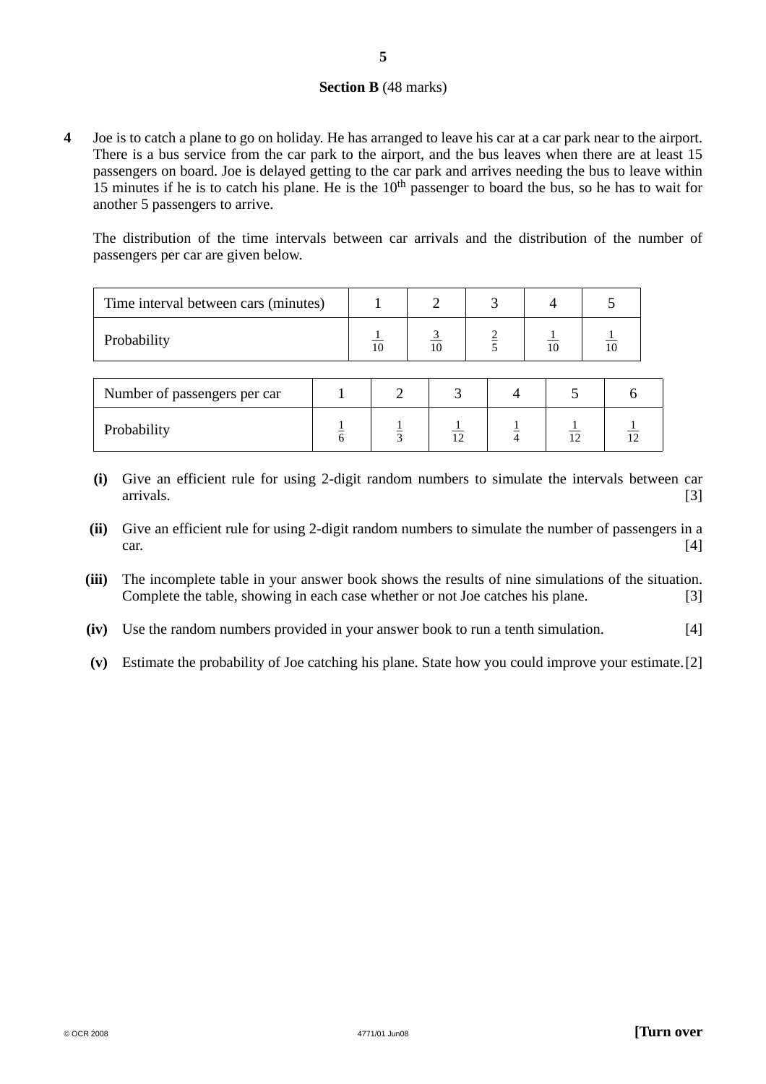#### **Section B** (48 marks)

**4** Joe is to catch a plane to go on holiday. He has arranged to leave his car at a car park near to the airport. There is a bus service from the car park to the airport, and the bus leaves when there are at least 15 passengers on board. Joe is delayed getting to the car park and arrives needing the bus to leave within 15 minutes if he is to catch his plane. He is the  $10<sup>th</sup>$  passenger to board the bus, so he has to wait for another 5 passengers to arrive.

 The distribution of the time intervals between car arrivals and the distribution of the number of passengers per car are given below.

| Time interval between cars (minutes) |  |                |                 |    |  |  |                 |  |    |  |
|--------------------------------------|--|----------------|-----------------|----|--|--|-----------------|--|----|--|
| Probability                          |  | 10             | $\overline{10}$ |    |  |  | $\overline{10}$ |  | 10 |  |
| Number of passengers per car         |  |                |                 |    |  |  |                 |  |    |  |
| Probability                          |  | $\overline{3}$ |                 | 12 |  |  | 12              |  | 12 |  |

- **(i)** Give an efficient rule for using 2-digit random numbers to simulate the intervals between car arrivals. [3]
- **(ii)** Give an efficient rule for using 2-digit random numbers to simulate the number of passengers in a  $\alpha$ car.  $[4]$
- **(iii)** The incomplete table in your answer book shows the results of nine simulations of the situation. Complete the table, showing in each case whether or not Joe catches his plane. [3]
- **(iv)** Use the random numbers provided in your answer book to run a tenth simulation. [4]
- **(v)** Estimate the probability of Joe catching his plane. State how you could improve your estimate. [2]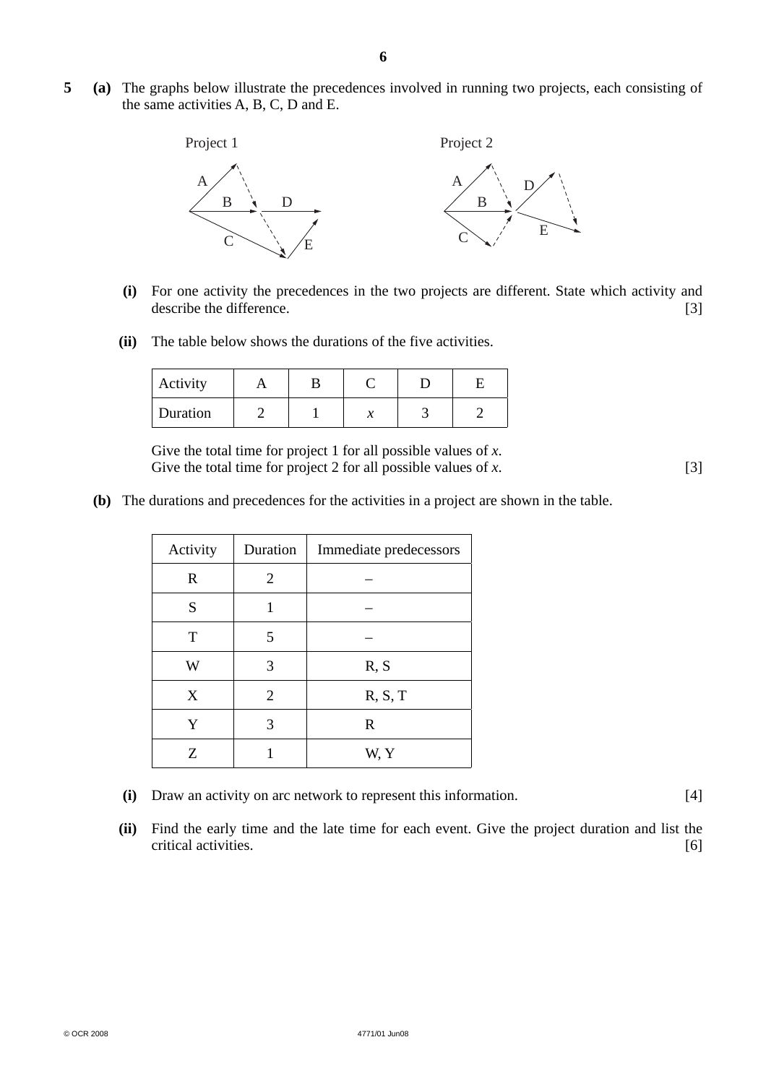

- **(i)** For one activity the precedences in the two projects are different. State which activity and describe the difference. [3]
- **(ii)** The table below shows the durations of the five activities.

| Activity |  |  |  |
|----------|--|--|--|
| Duration |  |  |  |

 Give the total time for project 1 for all possible values of *x*. Give the total time for project 2 for all possible values of *x*. [3]

**(b)** The durations and precedences for the activities in a project are shown in the table.

| Activity    | Duration | Immediate predecessors |
|-------------|----------|------------------------|
| $\mathbf R$ | 2        |                        |
| S           |          |                        |
| T           | 5        |                        |
| W           | 3        | R, S                   |
| X           | 2        | R, S, T                |
| Y           | 3        | $\mathbf R$            |
| Z           |          | W, Y                   |

- **(i)** Draw an activity on arc network to represent this information. [4]
- **(ii)** Find the early time and the late time for each event. Give the project duration and list the critical activities. [6]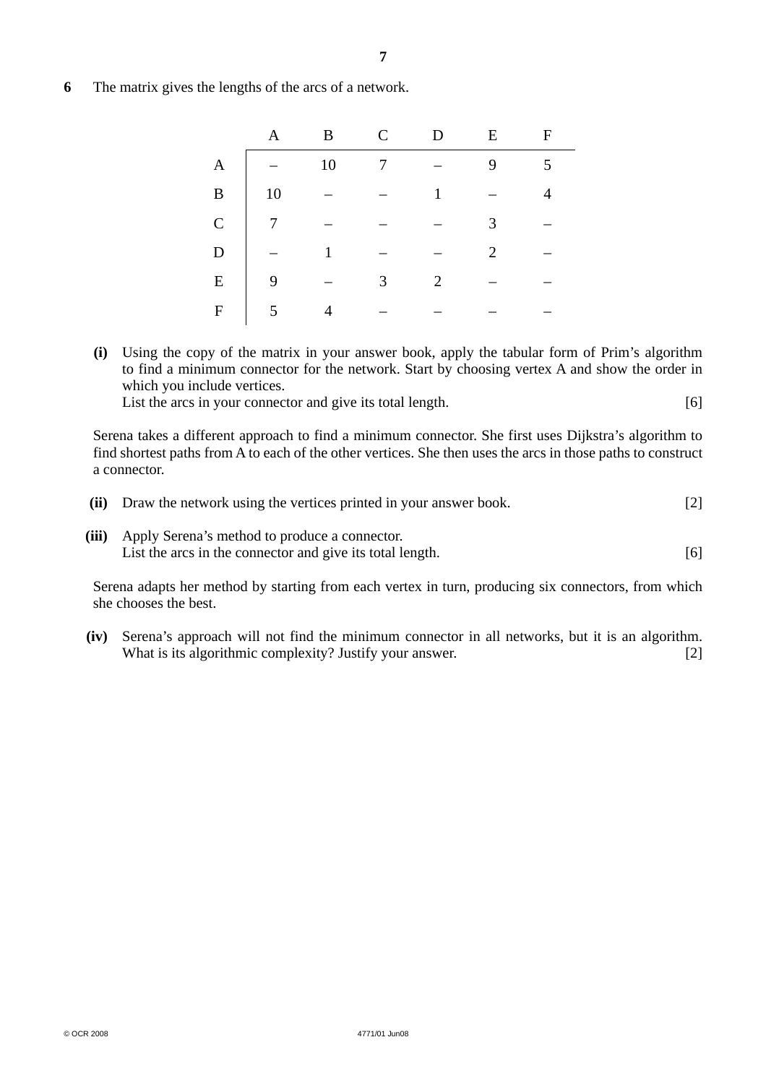**6** The matrix gives the lengths of the arcs of a network.

|                  | A                       | B  | $\mathbf C$    | D              | E              | F |
|------------------|-------------------------|----|----------------|----------------|----------------|---|
| $\overline{A}$   |                         | 10 | $\overline{7}$ |                | 9              | 5 |
| $\boldsymbol{B}$ | 10                      |    |                | $\mathbf{1}$   |                |   |
| $\mathsf{C}$     |                         |    |                |                |                |   |
| D                |                         |    |                |                | $\mathfrak{D}$ |   |
| ${\bf E}$        | 9                       |    | 3              | $\overline{2}$ |                |   |
| $\mathbf{F}$     | $\overline{\mathbf{S}}$ |    |                |                |                |   |

**(i)** Using the copy of the matrix in your answer book, apply the tabular form of Prim's algorithm to find a minimum connector for the network. Start by choosing vertex A and show the order in which you include vertices.

List the arcs in your connector and give its total length. [6]

 Serena takes a different approach to find a minimum connector. She first uses Dijkstra's algorithm to find shortest paths from A to each of the other vertices. She then uses the arcs in those paths to construct a connector.

| (ii) Draw the network using the vertices printed in your answer book. | $[2]$ |
|-----------------------------------------------------------------------|-------|
|                                                                       |       |

**(iii)** Apply Serena's method to produce a connector. List the arcs in the connector and give its total length. [6]

 Serena adapts her method by starting from each vertex in turn, producing six connectors, from which she chooses the best.

**(iv)** Serena's approach will not find the minimum connector in all networks, but it is an algorithm. What is its algorithmic complexity? Justify your answer. [2]